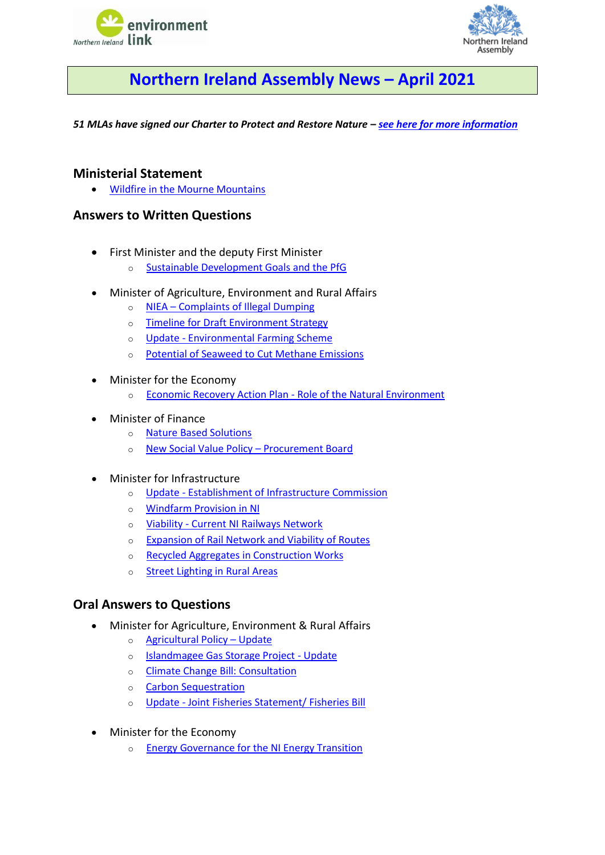



# **Northern Ireland Assembly News – April 2021**

<span id="page-0-0"></span>*51 MLAs have signed our Charter to Protect and Restore Nature – [see here for more information](https://www.nienvironmentlink.org/nature-matters-ni/mla-charter-to-protect-and-restore-nature)*

## **Ministerial Statement**

• [Wildfire in the Mourne Mountains](#page-1-0)

## **Answers to Written Questions**

- First Minister and the deputy First Minister
	- o [Sustainable Development Goals and the PfG](#page-1-1)
- Minister of Agriculture, Environment and Rural Affairs
	- o NIEA Complaints [of Illegal Dumping](#page-1-2)
	- o [Timeline for Draft Environment Strategy](#page-1-3)
	- o Update [Environmental Farming Scheme](#page-2-0)
	- o [Potential of Seaweed to Cut Methane Emissions](#page-2-1)
- Minister for the Economy
	- o [Economic Recovery Action Plan -](#page-2-2) Role of the Natural Environment
- Minister of Finance
	- o [Nature Based Solutions](#page-3-0)
	- o [New Social Value Policy](#page-3-1)  Procurement Board
- Minister for Infrastructure
	- o Update [Establishment of Infrastructure Commission](#page-3-2)
	- o [Windfarm Provision in NI](#page-3-3)
	- o Viability [Current NI Railways Network](#page-4-0)
	- o [Expansion of Rail Network and Viability of Routes](#page-4-1)
	- o [Recycled Aggregates in Construction Works](#page-4-2)
	- o [Street Lighting in Rural Areas](#page-5-0)

## **Oral Answers to Questions**

- Minister for Agriculture, Environment & Rural Affairs
	- o [Agricultural Policy](#page-5-1)  Update
	- o [Islandmagee Gas Storage Project -](#page-5-2) Update
	- o [Climate Change Bill: Consultation](#page-5-3)
	- o [Carbon Sequestration](#page-6-0)
	- o Update [Joint Fisheries Statement/ Fisheries Bill](#page-2-3)
- Minister for the Economy
	- o [Energy Governance for the NI Energy Transition](#page-6-1)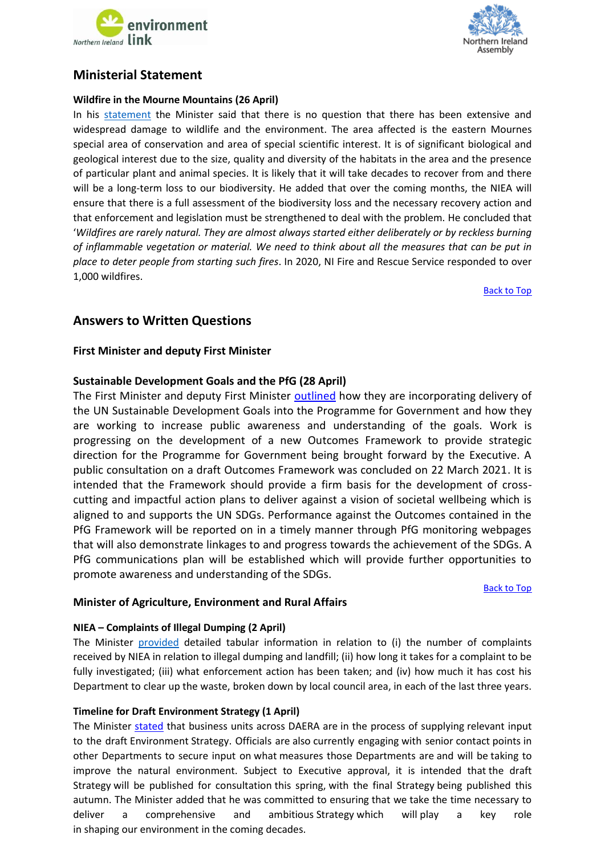



## **Ministerial Statement**

## <span id="page-1-0"></span>**Wildfire in the Mourne Mountains (26 April)**

In his [statement](http://aims.niassembly.gov.uk/officialreport/report.aspx?&eveDate=2021/04/26&docID=334489#3411232) the Minister said that there is no question that there has been extensive and widespread damage to wildlife and the environment. The area affected is the eastern Mournes special area of conservation and area of special scientific interest. It is of significant biological and geological interest due to the size, quality and diversity of the habitats in the area and the presence of particular plant and animal species. It is likely that it will take decades to recover from and there will be a long-term loss to our biodiversity. He added that over the coming months, the NIEA will ensure that there is a full assessment of the biodiversity loss and the necessary recovery action and that enforcement and legislation must be strengthened to deal with the problem. He concluded that '*Wildfires are rarely natural. They are almost always started either deliberately or by reckless burning of inflammable vegetation or material. We need to think about all the measures that can be put in place to deter people from starting such fires*. In 2020, NI Fire and Rescue Service responded to over 1,000 wildfires.

[Back to Top](#page-0-0)

## **Answers to Written Questions**

## **First Minister and deputy First Minister**

## <span id="page-1-1"></span>**Sustainable Development Goals and the PfG (28 April)**

The First Minister and deputy First Minister [outlined](http://aims.niassembly.gov.uk/questions/printquestionsummary.aspx?docid=333277) how they are incorporating delivery of the UN Sustainable Development Goals into the Programme for Government and how they are working to increase public awareness and understanding of the goals. Work is progressing on the development of a new Outcomes Framework to provide strategic direction for the Programme for Government being brought forward by the Executive. A public consultation on a draft Outcomes Framework was concluded on 22 March 2021. It is intended that the Framework should provide a firm basis for the development of crosscutting and impactful action plans to deliver against a vision of societal wellbeing which is aligned to and supports the UN SDGs. Performance against the Outcomes contained in the PfG Framework will be reported on in a timely manner through PfG monitoring webpages that will also demonstrate linkages to and progress towards the achievement of the SDGs. A PfG communications plan will be established which will provide further opportunities to promote awareness and understanding of the SDGs.

[Back to Top](#page-0-0)

## **Minister of Agriculture, Environment and Rural Affairs**

## <span id="page-1-2"></span>**NIEA – Complaints of Illegal Dumping (2 April)**

The Minister [provided](http://aims.niassembly.gov.uk/questions/printquestionsummary.aspx?docid=331691) detailed tabular information in relation to (i) the number of complaints received by NIEA in relation to illegal dumping and landfill; (ii) how long it takes for a complaint to be fully investigated; (iii) what enforcement action has been taken; and (iv) how much it has cost his Department to clear up the waste, broken down by local council area, in each of the last three years.

## <span id="page-1-3"></span>**Timeline for Draft Environment Strategy (1 April)**

The Minister [stated](http://aims.niassembly.gov.uk/questions/printquestionsummary.aspx?docid=331106) that business units across DAERA are in the process of supplying relevant input to the draft Environment Strategy. Officials are also currently engaging with senior contact points in other Departments to secure input on what measures those Departments are and will be taking to improve the natural environment. Subject to Executive approval, it is intended that the draft Strategy will be published for consultation this spring, with the final Strategy being published this autumn. The Minister added that he was committed to ensuring that we take the time necessary to deliver a comprehensive and ambitious Strategy which will play a key role in shaping our environment in the coming decades.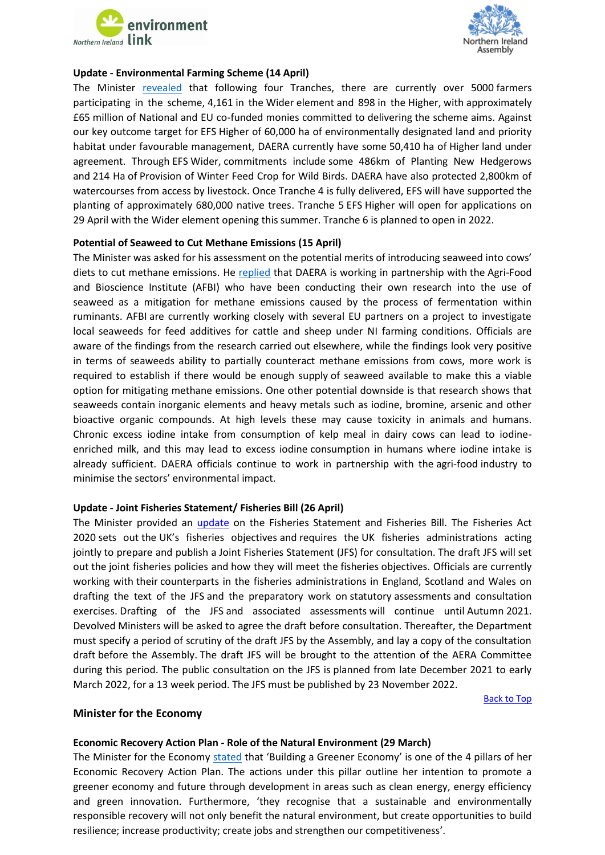



#### <span id="page-2-0"></span>**Update - Environmental Farming Scheme (14 April)**

The Minister [revealed](http://aims.niassembly.gov.uk/questions/printquestionsummary.aspx?docid=334112) that following four Tranches, there are currently over 5000 farmers participating in the scheme, 4,161 in the Wider element and 898 in the Higher, with approximately £65 million of National and EU co-funded monies committed to delivering the scheme aims. Against our key outcome target for EFS Higher of 60,000 ha of environmentally designated land and priority habitat under favourable management, DAERA currently have some 50,410 ha of Higher land under agreement. Through EFS Wider, commitments include some 486km of Planting New Hedgerows and 214 Ha of Provision of Winter Feed Crop for Wild Birds. DAERA have also protected 2,800km of watercourses from access by livestock. Once Tranche 4 is fully delivered, EFS will have supported the planting of approximately 680,000 native trees. Tranche 5 EFS Higher will open for applications on 29 April with the Wider element opening this summer. Tranche 6 is planned to open in 2022.

#### <span id="page-2-1"></span>**Potential of Seaweed to Cut Methane Emissions (15 April)**

The Minister was asked for his assessment on the potential merits of introducing seaweed into cows' diets to cut methane emissions. He [replied](http://aims.niassembly.gov.uk/questions/printquestionsummary.aspx?docid=332388) that DAERA is working in partnership with the Agri-Food and Bioscience Institute (AFBI) who have been conducting their own research into the use of seaweed as a mitigation for methane emissions caused by the process of fermentation within ruminants. AFBI are currently working closely with several EU partners on a project to investigate local seaweeds for feed additives for cattle and sheep under NI farming conditions. Officials are aware of the findings from the research carried out elsewhere, while the findings look very positive in terms of seaweeds ability to partially counteract methane emissions from cows, more work is required to establish if there would be enough supply of seaweed available to make this a viable option for mitigating methane emissions. One other potential downside is that research shows that seaweeds contain inorganic elements and heavy metals such as iodine, bromine, arsenic and other bioactive organic compounds. At high levels these may cause toxicity in animals and humans. Chronic excess iodine intake from consumption of kelp meal in dairy cows can lead to iodineenriched milk, and this may lead to excess iodine consumption in humans where iodine intake is already sufficient. DAERA officials continue to work in partnership with the agri-food industry to minimise the sectors' environmental impact.

## <span id="page-2-3"></span>**Update - Joint Fisheries Statement/ Fisheries Bill (26 April)**

The Minister provided an [update](http://aims.niassembly.gov.uk/questions/printquestionsummary.aspx?docid=333554) on the Fisheries Statement and Fisheries Bill. The Fisheries Act 2020 sets out the UK's fisheries objectives and requires the UK fisheries administrations acting jointly to prepare and publish a Joint Fisheries Statement (JFS) for consultation. The draft JFS will set out the joint fisheries policies and how they will meet the fisheries objectives. Officials are currently working with their counterparts in the fisheries administrations in England, Scotland and Wales on drafting the text of the JFS and the preparatory work on statutory assessments and consultation exercises. Drafting of the JFS and associated assessments will continue until Autumn 2021. Devolved Ministers will be asked to agree the draft before consultation. Thereafter, the Department must specify a period of scrutiny of the draft JFS by the Assembly, and lay a copy of the consultation draft before the Assembly. The draft JFS will be brought to the attention of the AERA Committee during this period. The public consultation on the JFS is planned from late December 2021 to early March 2022, for a 13 week period. The JFS must be published by 23 November 2022.

[Back to Top](#page-0-0)

#### **Minister for the Economy**

#### <span id="page-2-2"></span>**Economic Recovery Action Plan - Role of the Natural Environment (29 March)**

The Minister for the Economy [stated](http://aims.niassembly.gov.uk/questions/printquestionsummary.aspx?docid=331718) that 'Building a Greener Economy' is one of the 4 pillars of her Economic Recovery Action Plan. The actions under this pillar outline her intention to promote a greener economy and future through development in areas such as clean energy, energy efficiency and green innovation. Furthermore, 'they recognise that a sustainable and environmentally responsible recovery will not only benefit the natural environment, but create opportunities to build resilience; increase productivity; create jobs and strengthen our competitiveness'.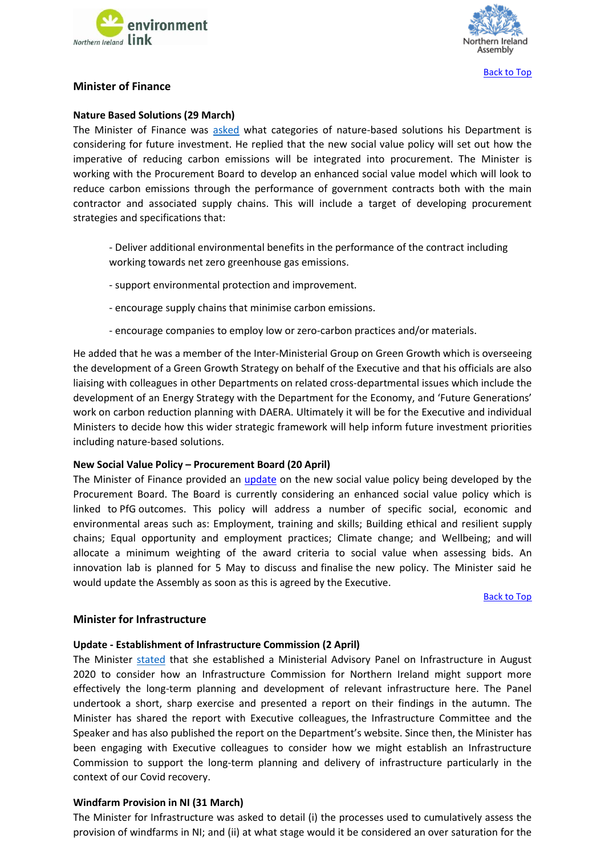



## **Minister of Finance**

#### <span id="page-3-0"></span>**Nature Based Solutions (29 March)**

The Minister of Finance was [asked](http://aims.niassembly.gov.uk/questions/printquestionsummary.aspx?docid=331442) what categories of nature-based solutions his Department is considering for future investment. He replied that the new social value policy will set out how the imperative of reducing carbon emissions will be integrated into procurement. The Minister is working with the Procurement Board to develop an enhanced social value model which will look to reduce carbon emissions through the performance of government contracts both with the main contractor and associated supply chains. This will include a target of developing procurement strategies and specifications that:

- Deliver additional environmental benefits in the performance of the contract including working towards net zero greenhouse gas emissions.
- support environmental protection and improvement.
- encourage supply chains that minimise carbon emissions.
- encourage companies to employ low or zero-carbon practices and/or materials.

He added that he was a member of the Inter-Ministerial Group on Green Growth which is overseeing the development of a Green Growth Strategy on behalf of the Executive and that his officials are also liaising with colleagues in other Departments on related cross-departmental issues which include the development of an Energy Strategy with the Department for the Economy, and 'Future Generations' work on carbon reduction planning with DAERA. Ultimately it will be for the Executive and individual Ministers to decide how this wider strategic framework will help inform future investment priorities including nature-based solutions.

#### <span id="page-3-1"></span>**New Social Value Policy – Procurement Board (20 April)**

The Minister of Finance provided an [update](http://aims.niassembly.gov.uk/questions/printquestionsummary.aspx?docid=335245) on the new social value policy being developed by the Procurement Board. The Board is currently considering an enhanced social value policy which is linked to PfG outcomes. This policy will address a number of specific social, economic and environmental areas such as: Employment, training and skills; Building ethical and resilient supply chains; Equal opportunity and employment practices; Climate change; and Wellbeing; and will allocate a minimum weighting of the award criteria to social value when assessing bids. An innovation lab is planned for 5 May to discuss and finalise the new policy. The Minister said he would update the Assembly as soon as this is agreed by the Executive.

[Back to Top](#page-0-0)

#### **Minister for Infrastructure**

#### <span id="page-3-2"></span>**Update - Establishment of Infrastructure Commission (2 April)**

The Minister [stated](http://aims.niassembly.gov.uk/questions/printquestionsummary.aspx?docid=332674) that she established a Ministerial Advisory Panel on Infrastructure in August 2020 to consider how an Infrastructure Commission for Northern Ireland might support more effectively the long-term planning and development of relevant infrastructure here. The Panel undertook a short, sharp exercise and presented a report on their findings in the autumn. The Minister has shared the report with Executive colleagues, the Infrastructure Committee and the Speaker and has also published the report on the Department's website. Since then, the Minister has been engaging with Executive colleagues to consider how we might establish an Infrastructure Commission to support the long-term planning and delivery of infrastructure particularly in the context of our Covid recovery.

#### <span id="page-3-3"></span>**Windfarm Provision in NI (31 March)**

The Minister for Infrastructure was asked to detail (i) the processes used to cumulatively assess the provision of windfarms in NI; and (ii) at what stage would it be considered an over saturation for the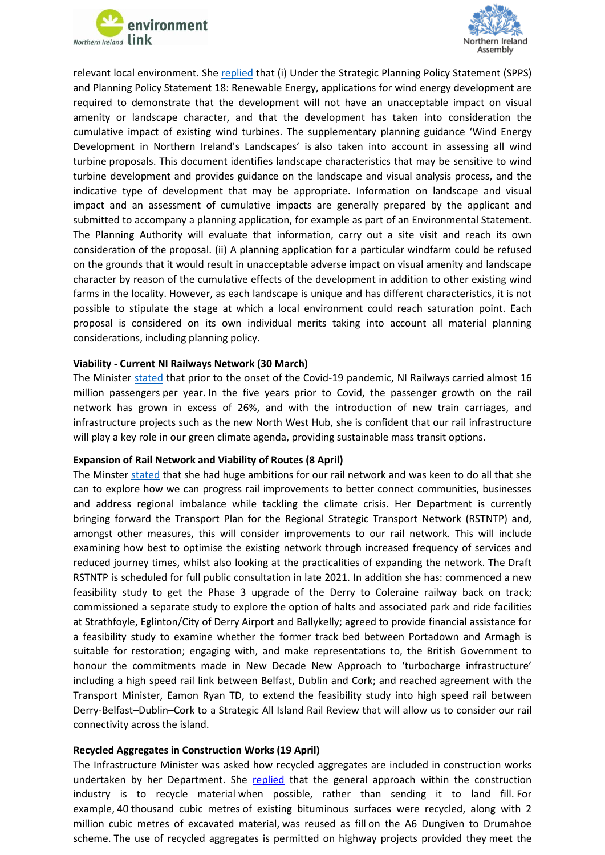



relevant local environment. Sh[e replied](http://aims.niassembly.gov.uk/questions/printquestionsummary.aspx?docid=332212) that (i) Under the Strategic Planning Policy Statement (SPPS) and Planning Policy Statement 18: Renewable Energy, applications for wind energy development are required to demonstrate that the development will not have an unacceptable impact on visual amenity or landscape character, and that the development has taken into consideration the cumulative impact of existing wind turbines. The supplementary planning guidance 'Wind Energy Development in Northern Ireland's Landscapes' is also taken into account in assessing all wind turbine proposals. This document identifies landscape characteristics that may be sensitive to wind turbine development and provides guidance on the landscape and visual analysis process, and the indicative type of development that may be appropriate. Information on landscape and visual impact and an assessment of cumulative impacts are generally prepared by the applicant and submitted to accompany a planning application, for example as part of an Environmental Statement. The Planning Authority will evaluate that information, carry out a site visit and reach its own consideration of the proposal. (ii) A planning application for a particular windfarm could be refused on the grounds that it would result in unacceptable adverse impact on visual amenity and landscape character by reason of the cumulative effects of the development in addition to other existing wind farms in the locality. However, as each landscape is unique and has different characteristics, it is not possible to stipulate the stage at which a local environment could reach saturation point. Each proposal is considered on its own individual merits taking into account all material planning considerations, including planning policy.

#### <span id="page-4-0"></span>**Viability - Current NI Railways Network (30 March)**

The Minister [stated](http://aims.niassembly.gov.uk/questions/printquestionsummary.aspx?docid=332192) that prior to the onset of the Covid-19 pandemic, NI Railways carried almost 16 million passengers per year. In the five years prior to Covid, the passenger growth on the rail network has grown in excess of 26%, and with the introduction of new train carriages, and infrastructure projects such as the new North West Hub, she is confident that our rail infrastructure will play a key role in our green climate agenda, providing sustainable mass transit options.

#### <span id="page-4-1"></span>**Expansion of Rail Network and Viability of Routes (8 April)**

The Minster [stated](http://aims.niassembly.gov.uk/questions/printquestionsummary.aspx?docid=332193) that she had huge ambitions for our rail network and was keen to do all that she can to explore how we can progress rail improvements to better connect communities, businesses and address regional imbalance while tackling the climate crisis. Her Department is currently bringing forward the Transport Plan for the Regional Strategic Transport Network (RSTNTP) and, amongst other measures, this will consider improvements to our rail network. This will include examining how best to optimise the existing network through increased frequency of services and reduced journey times, whilst also looking at the practicalities of expanding the network. The Draft RSTNTP is scheduled for full public consultation in late 2021. In addition she has: commenced a new feasibility study to get the Phase 3 upgrade of the Derry to Coleraine railway back on track; commissioned a separate study to explore the option of halts and associated park and ride facilities at Strathfoyle, Eglinton/City of Derry Airport and Ballykelly; agreed to provide financial assistance for a feasibility study to examine whether the former track bed between Portadown and Armagh is suitable for restoration; engaging with, and make representations to, the British Government to honour the commitments made in New Decade New Approach to 'turbocharge infrastructure' including a high speed rail link between Belfast, Dublin and Cork; and reached agreement with the Transport Minister, Eamon Ryan TD, to extend the feasibility study into high speed rail between Derry-Belfast–Dublin–Cork to a Strategic All Island Rail Review that will allow us to consider our rail connectivity across the island.

#### <span id="page-4-2"></span>**Recycled Aggregates in Construction Works (19 April)**

The Infrastructure Minister was asked how recycled aggregates are included in construction works undertaken by her Department. She [replied](http://aims.niassembly.gov.uk/questions/printquestionsummary.aspx?docid=333119) that the general approach within the construction industry is to recycle material when possible, rather than sending it to land fill. For example, 40 thousand cubic metres of existing bituminous surfaces were recycled, along with 2 million cubic metres of excavated material, was reused as fill on the A6 Dungiven to Drumahoe scheme. The use of recycled aggregates is permitted on highway projects provided they meet the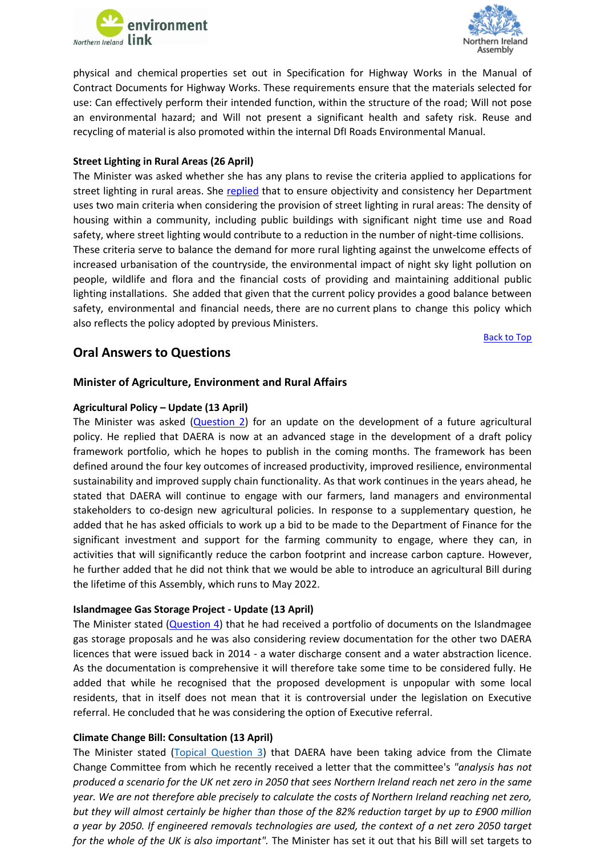



physical and chemical properties set out in Specification for Highway Works in the Manual of Contract Documents for Highway Works. These requirements ensure that the materials selected for use: Can effectively perform their intended function, within the structure of the road; Will not pose an environmental hazard; and Will not present a significant health and safety risk. Reuse and recycling of material is also promoted within the internal DfI Roads Environmental Manual.

## <span id="page-5-0"></span>**Street Lighting in Rural Areas (26 April)**

The Minister was asked whether she has any plans to revise the criteria applied to applications for street lighting in rural areas. She [replied](http://aims.niassembly.gov.uk/questions/printquestionsummary.aspx?docid=335607) that to ensure objectivity and consistency her Department uses two main criteria when considering the provision of street lighting in rural areas: The density of housing within a community, including public buildings with significant night time use and Road safety, where street lighting would contribute to a reduction in the number of night-time collisions.

These criteria serve to balance the demand for more rural lighting against the unwelcome effects of increased urbanisation of the countryside, the environmental impact of night sky light pollution on people, wildlife and flora and the financial costs of providing and maintaining additional public lighting installations. She added that given that the current policy provides a good balance between safety, environmental and financial needs, there are no current plans to change this policy which also reflects the policy adopted by previous Ministers.

[Back to Top](#page-0-0)

## **Oral Answers to Questions**

## **Minister of Agriculture, Environment and Rural Affairs**

## <span id="page-5-1"></span>**Agricultural Policy – Update (13 April)**

The Minister was asked [\(Question 2\)](http://aims.niassembly.gov.uk/officialreport/report.aspx?&eveDate=2021-04-13&docID=332317#AQO%201835/17-22) for an update on the development of a future agricultural policy. He replied that DAERA is now at an advanced stage in the development of a draft policy framework portfolio, which he hopes to publish in the coming months. The framework has been defined around the four key outcomes of increased productivity, improved resilience, environmental sustainability and improved supply chain functionality. As that work continues in the years ahead, he stated that DAERA will continue to engage with our farmers, land managers and environmental stakeholders to co-design new agricultural policies. In response to a supplementary question, he added that he has asked officials to work up a bid to be made to the Department of Finance for the significant investment and support for the farming community to engage, where they can, in activities that will significantly reduce the carbon footprint and increase carbon capture. However, he further added that he did not think that we would be able to introduce an agricultural Bill during the lifetime of this Assembly, which runs to May 2022.

## <span id="page-5-2"></span>**Islandmagee Gas Storage Project - Update (13 April)**

The Minister stated  $(Question 4)$  that he had received a portfolio of documents on the Islandmagee gas storage proposals and he was also considering review documentation for the other two DAERA licences that were issued back in 2014 - a water discharge consent and a water abstraction licence. As the documentation is comprehensive it will therefore take some time to be considered fully. He added that while he recognised that the proposed development is unpopular with some local residents, that in itself does not mean that it is controversial under the legislation on Executive referral. He concluded that he was considering the option of Executive referral.

## <span id="page-5-3"></span>**Climate Change Bill: Consultation (13 April)**

The Minister stated [\(Topical Question](http://aims.niassembly.gov.uk/officialreport/report.aspx?&eveDate=2021/04/13&docID=332317#3383859) 3) that DAERA have been taking advice from the Climate Change Committee from which he recently received a letter that the committee's *"analysis has not produced a scenario for the UK net zero in 2050 that sees Northern Ireland reach net zero in the same year. We are not therefore able precisely to calculate the costs of Northern Ireland reaching net zero, but they will almost certainly be higher than those of the 82% reduction target by up to £900 million a year by 2050. If engineered removals technologies are used, the context of a net zero 2050 target for the whole of the UK is also important".* The Minister has set it out that his Bill will set targets to